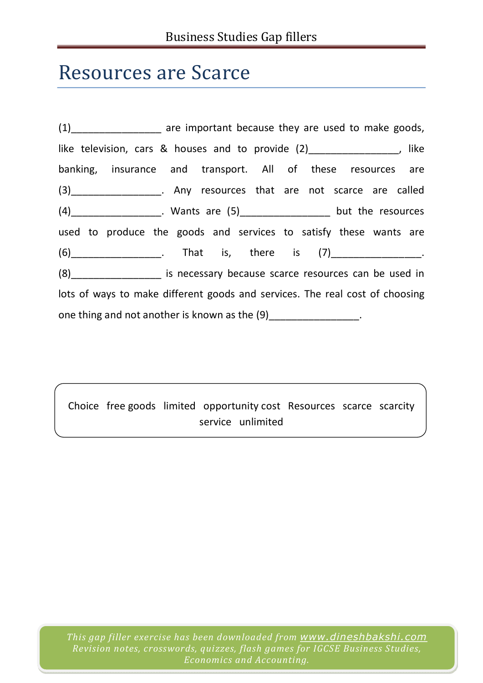## Resources are Scarce

(1) The are important because they are used to make goods, like television, cars & houses and to provide (2) The manufacture control of the television, like banking, insurance and transport. All of these resources are (3)\_\_\_\_\_\_\_\_\_\_\_\_\_\_\_\_. Any resources that are not scarce are called (4)\_\_\_\_\_\_\_\_\_\_\_\_\_\_\_\_. Wants are (5)\_\_\_\_\_\_\_\_\_\_\_\_\_\_\_\_ but the resources used to produce the goods and services to satisfy these wants are  $(6)$  (6) a contact that is, there is  $(7)$  and the set of  $(7)$  and  $(8)$  and  $(9)$  and  $(10)$  and  $(20)$  and  $(3)$  and  $(40)$  and  $(5)$  and  $(7)$  and  $(8)$  and  $(9)$  and  $(10)$  and  $(10)$  and  $(10)$  and  $(11)$  and  $(12)$ (8)\_\_\_\_\_\_\_\_\_\_\_\_\_\_\_\_ is necessary because scarce resources can be used in lots of ways to make different goods and services. The real cost of choosing one thing and not another is known as the (9) The state of  $(9)$ 

Choice free goods limited opportunity cost Resources scarce scarcity service unlimited

*This gap filler exercise has been downloaded from www.dineshbakshi.com Revision notes, crosswords, quizzes, flash games for IGCSE Business Studies, Economics and Accounting.*